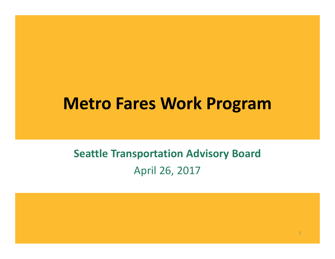#### Metro Fares Work Program

#### Seattle Transportation Advisory BoardApril 26, 2017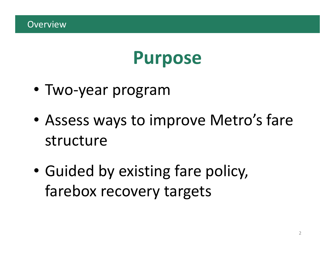### Purpose

- Two-year program
- • Assess ways to improve Metro's fare structure
- • Guided by existing fare policy, farebox recovery targets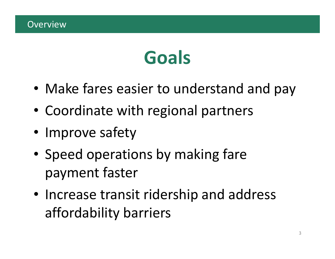# Goals

- Make fares easier to understand and pay
- Coordinate with regional partners
- Improve safety
- Speed operations by making fare payment faster
- Increase transit ridership and address affordability barriers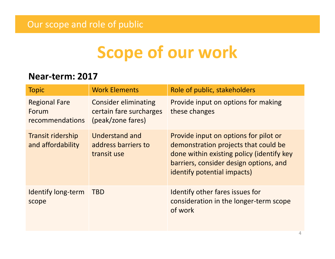## Scope of our work

#### Near-term: <sup>2017</sup>

| <b>Topic</b>                                     | <b>Work Elements</b>                                                        | Role of public, stakeholders                                                                                                                                                                        |
|--------------------------------------------------|-----------------------------------------------------------------------------|-----------------------------------------------------------------------------------------------------------------------------------------------------------------------------------------------------|
| <b>Regional Fare</b><br>Forum<br>recommendations | <b>Consider eliminating</b><br>certain fare surcharges<br>(peak/zone fares) | Provide input on options for making<br>these changes                                                                                                                                                |
| <b>Transit ridership</b><br>and affordability    | <b>Understand and</b><br>address barriers to<br>transit use                 | Provide input on options for pilot or<br>demonstration projects that could be<br>done within existing policy (identify key<br>barriers, consider design options, and<br>identify potential impacts) |
| <b>Identify long-term</b><br>scope               | <b>TBD</b>                                                                  | Identify other fares issues for<br>consideration in the longer-term scope<br>of work                                                                                                                |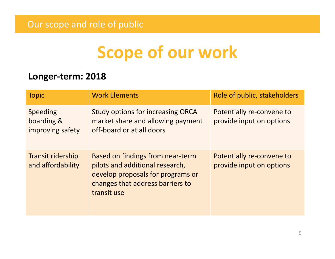## Scope of our work

#### Longer-term: <sup>2018</sup>

| <b>Topic</b>                                      | <b>Work Elements</b>                                                                                                                                        | Role of public, stakeholders                          |
|---------------------------------------------------|-------------------------------------------------------------------------------------------------------------------------------------------------------------|-------------------------------------------------------|
| <b>Speeding</b><br>boarding &<br>improving safety | Study options for increasing ORCA<br>market share and allowing payment<br>off-board or at all doors                                                         | Potentially re-convene to<br>provide input on options |
| <b>Transit ridership</b><br>and affordability     | Based on findings from near-term<br>pilots and additional research,<br>develop proposals for programs or<br>changes that address barriers to<br>transit use | Potentially re-convene to<br>provide input on options |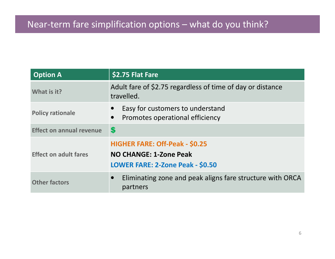#### Near-term fare simplification options – what do you think?

| <b>Option A</b>                 | \$2.75 Flat Fare                                                                                    |
|---------------------------------|-----------------------------------------------------------------------------------------------------|
| What is it?                     | Adult fare of \$2.75 regardless of time of day or distance<br>travelled.                            |
| <b>Policy rationale</b>         | Easy for customers to understand<br>Promotes operational efficiency<br>$\bullet$                    |
| <b>Effect on annual revenue</b> | $\boldsymbol{\mathsf{s}}$                                                                           |
| <b>Effect on adult fares</b>    | <b>HIGHER FARE: Off-Peak - \$0.25</b><br>NO CHANGE: 1-Zone Peak<br>LOWER FARE: 2-Zone Peak - \$0.50 |
| <b>Other factors</b>            | Eliminating zone and peak aligns fare structure with ORCA<br>partners                               |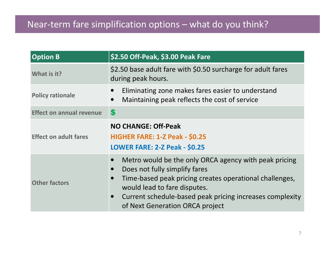| <b>Option B</b>                 | \$2.50 Off-Peak, \$3.00 Peak Fare                                                                                                                                                                                                                                                             |
|---------------------------------|-----------------------------------------------------------------------------------------------------------------------------------------------------------------------------------------------------------------------------------------------------------------------------------------------|
| What is it?                     | \$2.50 base adult fare with \$0.50 surcharge for adult fares<br>during peak hours.                                                                                                                                                                                                            |
| <b>Policy rationale</b>         | Eliminating zone makes fares easier to understand<br>$\bullet$<br>Maintaining peak reflects the cost of service<br>$\bullet$                                                                                                                                                                  |
| <b>Effect on annual revenue</b> | $\boldsymbol{s}$                                                                                                                                                                                                                                                                              |
| <b>Effect on adult fares</b>    | <b>NO CHANGE: Off-Peak</b><br><b>HIGHER FARE: 1-Z Peak - \$0.25</b><br><b>LOWER FARE: 2-Z Peak - \$0.25</b>                                                                                                                                                                                   |
| <b>Other factors</b>            | Metro would be the only ORCA agency with peak pricing<br>$\bullet$<br>Does not fully simplify fares<br>Time-based peak pricing creates operational challenges,<br>would lead to fare disputes.<br>Current schedule-based peak pricing increases complexity<br>of Next Generation ORCA project |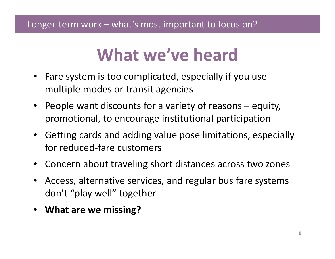### What we've heard

- Fare system is too complicated, especially if you use multiple modes or transit agencies
- People want discounts for a variety of reasons equity, promotional, to encourage institutional participation
- $\bullet$  Getting cards and adding value pose limitations, especially for reduced-fare customers
- Concern about traveling short distances across two zones
- $\bullet$  Access, alternative services, and regular bus fare systems don't "play well" together
- What are we missing?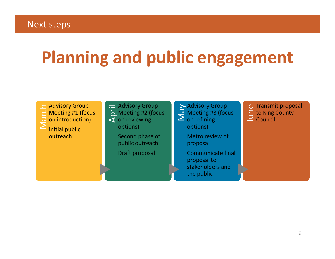# Planning and public engagement

 $\sum_{i=1}^{n}$  Advisory Group<br>  $\sum_{i=1}^{n}$  Meeting #1 (focus<br>  $\sum_{i=1}^{n}$  Initial public outreach

Advisory Group<br>
A Meeting #2 (focus<br> **4** On reviewing options)Second phase of public outreach

Draft proposal

 $\sum_{\alpha}$  Meeting #3 (focus on refining

options)

Metro review of proposal

Communicate final proposal to stakeholders and the public

 $\frac{1}{\pi}$  Transmit proposal<br>  $\frac{1}{\pi}$  Council<br>
Council